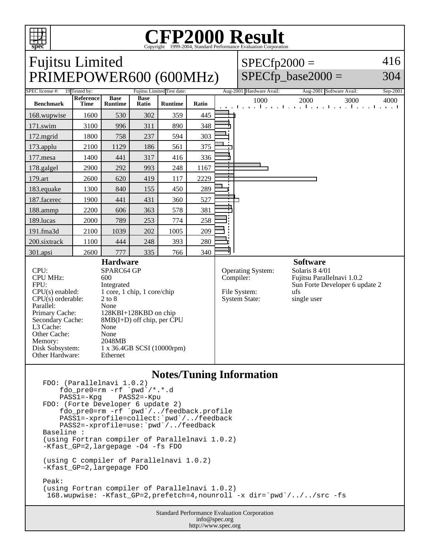

L3 Cache: None<br>Other Cache: None Other Cache: None<br>Memory: 2048MB

Other Hardware: Ethernet

Disk Subsystem: 1 x 36.4GB SCSI (10000rpm)

Memory:

### **CFP2000 Result** Copyright 1999-2004, Standard Performance Evaluation Corporation

| spec                                                           |                          |                               |                      |                |              |                                                                                       | Copyright ©1999-2004, Standard Performance Evaluation Corporation |                                                                              |          |
|----------------------------------------------------------------|--------------------------|-------------------------------|----------------------|----------------|--------------|---------------------------------------------------------------------------------------|-------------------------------------------------------------------|------------------------------------------------------------------------------|----------|
| <b>Fujitsu Limited</b>                                         |                          |                               |                      |                |              |                                                                                       | $SPECfp2000 =$                                                    |                                                                              | 416      |
| PRIMEPOWER600 (600MHz)                                         |                          |                               |                      |                |              |                                                                                       |                                                                   | $SPECfp\_base2000 =$                                                         | 304      |
| SPEC license #:<br>19 Tested by:<br>Fujitsu Limited Test date: |                          |                               |                      |                |              |                                                                                       | Aug-2001 Hardware Avail:                                          | Aug-2001 Software Avail:                                                     | Sep-2001 |
| <b>Benchmark</b>                                               | Reference<br><b>Time</b> | <b>Base</b><br><b>Runtime</b> | <b>Base</b><br>Ratio | <b>Runtime</b> | Ratio        |                                                                                       | 1000                                                              | 2000<br>3000<br>and the medical contract of the medical contract of the medi | 4000     |
| 168.wupwise                                                    | 1600                     | 530                           | 302                  | 359            | 445          |                                                                                       |                                                                   |                                                                              |          |
| 171.swim                                                       | 3100                     | 996                           | 311                  | 890            | 348          |                                                                                       |                                                                   |                                                                              |          |
| 172.mgrid                                                      | 1800                     | 758                           | 237                  | 594            | 303          |                                                                                       |                                                                   |                                                                              |          |
| $173$ .applu                                                   | 2100                     | 1129                          | 186                  | 561            | 375          |                                                                                       |                                                                   |                                                                              |          |
| $177$ .mesa                                                    | 1400                     | 441                           | 317                  | 416            | 336          |                                                                                       |                                                                   |                                                                              |          |
| 178.galgel                                                     | 2900                     | 292                           | 993                  | 248            | 1167         | $\mathbf{r}$<br>┯                                                                     |                                                                   |                                                                              |          |
| 179.art                                                        | 2600                     | 620                           | 419                  | 117            | 2229         | т                                                                                     |                                                                   |                                                                              |          |
| 183.equake                                                     | 1300                     | 840                           | 155                  | 450            | 289          |                                                                                       |                                                                   |                                                                              |          |
| 187.facerec                                                    | 1900                     | 441                           | 431                  | 360            | 527          | т                                                                                     |                                                                   |                                                                              |          |
| 188.ammp                                                       | 2200                     | 606                           | 363                  | 578            | 381          | Ĩ.                                                                                    |                                                                   |                                                                              |          |
| 189.lucas                                                      | 2000                     | 789                           | 253                  | 774            | 258          |                                                                                       |                                                                   |                                                                              |          |
| 191.fma3d                                                      | 2100                     | 1039                          | 202                  | 1005           | 209          |                                                                                       |                                                                   |                                                                              |          |
| 200.sixtrack                                                   | 1100                     | 444                           | 248                  | 393            | 280          |                                                                                       |                                                                   |                                                                              |          |
| 301.apsi                                                       | 2600                     | 777                           | 335                  | 766            | 340          |                                                                                       |                                                                   |                                                                              |          |
| <b>Hardware</b>                                                |                          |                               |                      |                |              |                                                                                       |                                                                   | <b>Software</b>                                                              |          |
| CPU:<br>SPARC64 GP<br><b>CPU MHz:</b><br>600                   |                          |                               |                      |                |              | Solaris 8 4/01<br><b>Operating System:</b><br>Fujitsu Parallelnavi 1.0.2<br>Compiler: |                                                                   |                                                                              |          |
| FPU:<br>Integrated                                             |                          |                               |                      |                |              |                                                                                       | Sun Forte Developer 6 update 2                                    |                                                                              |          |
| $CPU(s)$ enabled:<br>1 core, 1 chip, 1 core/chip               |                          |                               |                      |                | File System: |                                                                                       | ufs                                                               |                                                                              |          |
| $CPU(s)$ orderable:                                            | $2$ to $8$               |                               |                      |                |              | <b>System State:</b>                                                                  | single user                                                       |                                                                              |          |
| Parallel:<br>None                                              |                          |                               |                      |                |              |                                                                                       |                                                                   |                                                                              |          |
| Primary Cache:                                                 | 128KBI+128KBD on chip    |                               |                      |                |              |                                                                                       |                                                                   |                                                                              |          |
| Secondary Cache:<br>$8MB(I+D)$ off chip, per CPU               |                          |                               |                      |                |              |                                                                                       |                                                                   |                                                                              |          |

## **Notes/Tuning Information**

```
FDO: (Parallelnavi 1.0.2)
    fdo_pre0=rm -rf `pwd<sup>'</sup>/*.*.d<br>PASS1=-Kpg PASS2=-Kpu
    PASS1=-KpgFDO: (Forte Developer 6 update 2)
 fdo_pre0=rm -rf `pwd`/../feedback.profile
 PASS1=-xprofile=collect:`pwd`/../feedback
 PASS2=-xprofile=use:`pwd`/../feedback
Baseline :
(using Fortran compiler of Parallelnavi 1.0.2)
-Kfast_GP=2,largepage -O4 -fs FDO
(using C compiler of Parallelnavi 1.0.2)
-Kfast_GP=2,largepage FDO
Peak:
(using Fortran compiler of Parallelnavi 1.0.2)
  168.wupwise: -Kfast_GP=2,prefetch=4,nounroll -x dir=`pwd`/../../src -fs
```
Standard Performance Evaluation Corporation info@spec.org http://www.spec.org